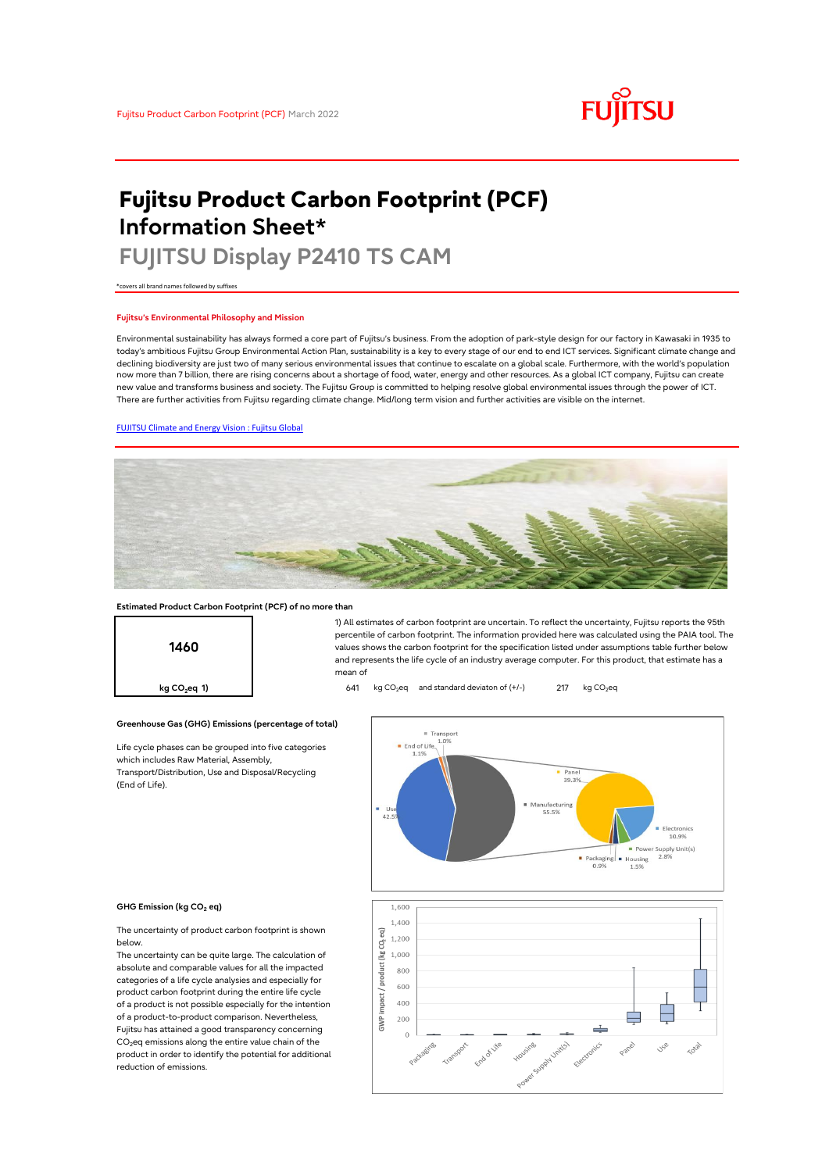# **FUJITSU**

## **Fujitsu Product Carbon Footprint (PCF) Information Sheet\***

### **FUJITSU Display P2410 TS CAM**

\*covers all brand names followed by suffixes

#### **Fujitsu's Environmental Philosophy and Mission**

Environmental sustainability has always formed a core part of Fujitsu's business. From the adoption of park-style design for our factory in Kawasaki in 1935 to today's ambitious Fujitsu Group Environmental Action Plan, sustainability is a key to every stage of our end to end ICT services. Significant climate change and declining biodiversity are just two of many serious environmental issues that continue to escalate on a global scale. Furthermore, with the world's population now more than 7 billion, there are rising concerns about a shortage of food, water, energy and other resources. As a global ICT company, Fujitsu can create new value and transforms business and society. The Fujitsu Group is committed to helping resolve global environmental issues through the power of ICT. There are further activities from Fujitsu regarding climate change. Mid/long term vision and further activities are visible on the internet.

### [FUJITSU Climate and Energy Vision : Fujitsu Global](https://www.fujitsu.com/global/about/environment/climate-energy-vision/)



mean of

#### **Estimated Product Carbon Footprint (PCF) of no more than**



#### **Greenhouse Gas (GHG) Emissions (percentage of total)**

Life cycle phases can be grouped into five categories which includes Raw Material, Assembly, Transport/Distribution, Use and Disposal/Recycling (End of Life).



1) All estimates of carbon footprint are uncertain. To reflect the uncertainty, Fujitsu reports the 95th percentile of carbon footprint. The information provided here was calculated using the PAIA tool. The values shows the carbon footprint for the specification listed under assumptions table further below and represents the life cycle of an industry average computer. For this product, that estimate has a

#### **GHG Emission (kg CO<sup>2</sup> eq)**

The uncertainty of product carbon footprint is shown below.

The uncertainty can be quite large. The calculation of absolute and comparable values for all the impacted categories of a life cycle analysies and especially for product carbon footprint during the entire life cycle of a product is not possible especially for the intention of a product-to-product comparison. Nevertheless, Fujitsu has attained a good transparency concerning  $CO<sub>2</sub>$ eq emissions along the entire value chain of the product in order to identify the potential for additional reduction of emissions.